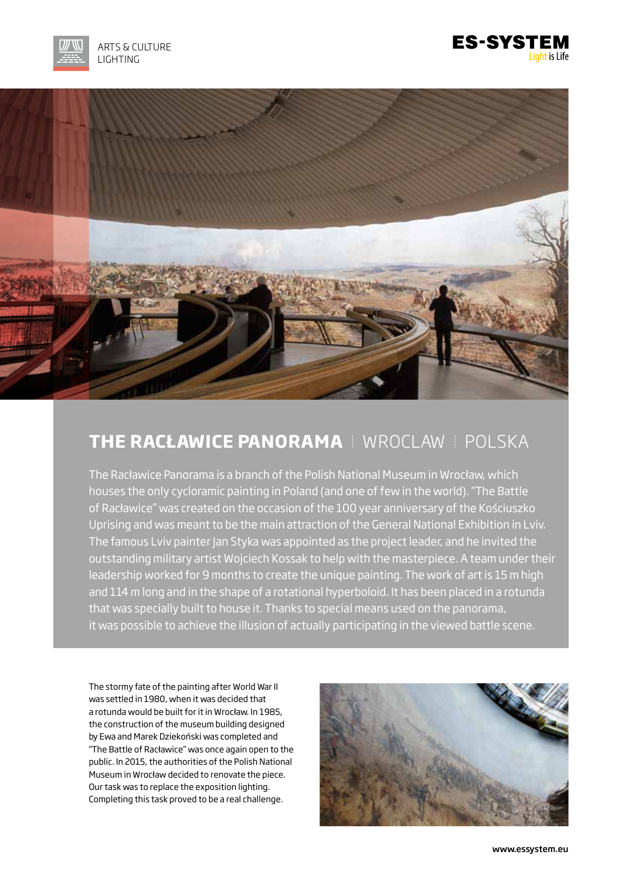





## **THE RACŁAWICE PANORAMA** WROCLAW POLSKA

The Racławice Panorama is a branch of the Polish National Museum in Wrocław, which houses the only cycloramic painting in Poland (and one of few in the world). "The Battle of Racławice" was created on the occasion of the 100 year anniversary of the Kościuszko Uprising and was meant to be the main attraction of the General National Exhibition in Lviv. The famous Lviv painter Jan Styka was appointed as the project leader, and he invited the outstanding military artist Wojciech Kossak to help with the masterpiece. A team under their leadership worked for 9 months to create the unique painting. The work of art is 15 m high and 114 m long and in the shape of a rotational hyperboloid. It has been placed in a rotunda that was specially built to house it. Thanks to special means used on the panorama, it was possible to achieve the illusion of actually participating in the viewed battle scene.

The stormy fate of the painting after World War II was settled in 1980, when it was decided that a rotunda would be built for it in Wrocław. In 1985, the construction of the museum building designed by Ewa and Marek Dziekoński was completed and "The Battle of Racławice" was once again open to the public. In 2015, the authorities of the Polish National Museum in Wrocław decided to renovate the piece. Our task was to replace the exposition lighting. Completing this task proved to be a real challenge.

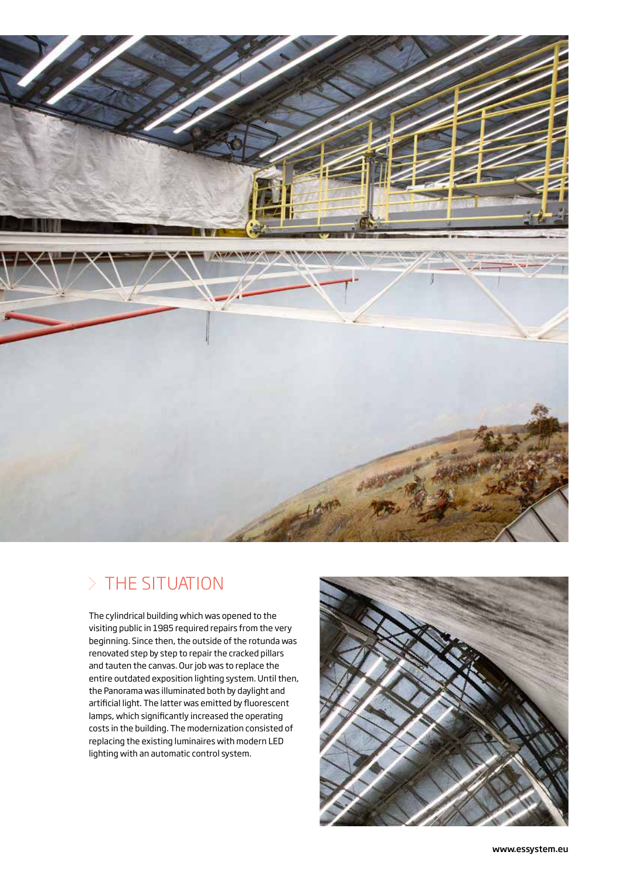

## $>$  THE SITUATION

The cylindrical building which was opened to the visiting public in 1985 required repairs from the very beginning. Since then, the outside of the rotunda was renovated step by step to repair the cracked pillars and tauten the canvas. Our job was to replace the entire outdated exposition lighting system. Until then, the Panorama was illuminated both by daylight and artificial light. The latter was emitted by fluorescent lamps, which significantly increased the operating costs in the building. The modernization consisted of replacing the existing luminaires with modern LED lighting with an automatic control system.

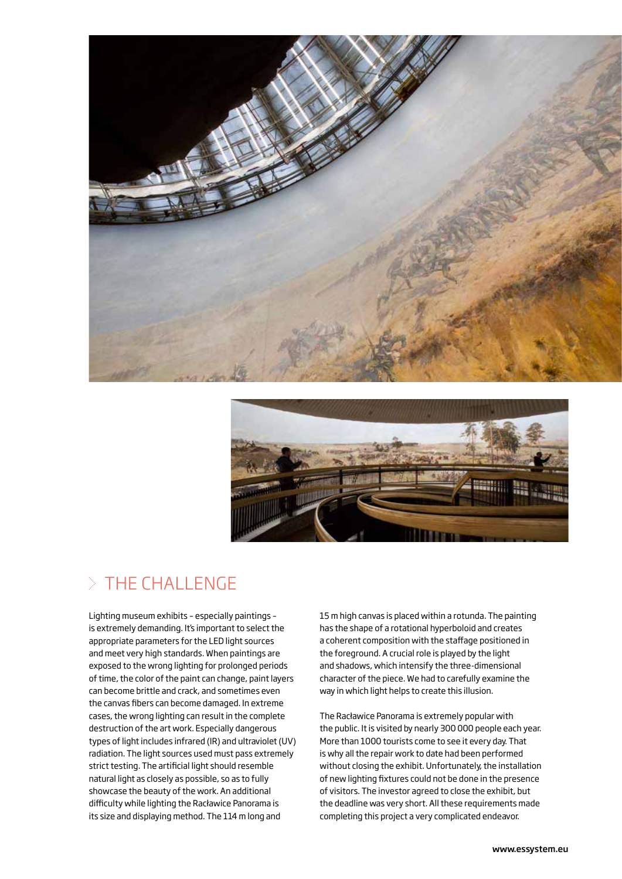



#### $>$  THE CHALLENGE

Lighting museum exhibits – especially paintings – is extremely demanding. It's important to select the appropriate parameters for the LED light sources and meet very high standards. When paintings are exposed to the wrong lighting for prolonged periods of time, the color of the paint can change, paint layers can become brittle and crack, and sometimes even the canvas fibers can become damaged. In extreme cases, the wrong lighting can result in the complete destruction of the art work. Especially dangerous types of light includes infrared (IR) and ultraviolet (UV) radiation. The light sources used must pass extremely strict testing. The artificial light should resemble natural light as closely as possible, so as to fully showcase the beauty of the work. An additional difficulty while lighting the Racławice Panorama is its size and displaying method. The 114 m long and

15 m high canvas is placed within a rotunda. The painting has the shape of a rotational hyperboloid and creates a coherent composition with the staffage positioned in the foreground. A crucial role is played by the light and shadows, which intensify the three-dimensional character of the piece. We had to carefully examine the way in which light helps to create this illusion.

The Racławice Panorama is extremely popular with the public. It is visited by nearly 300 000 people each year. More than 1000 tourists come to see it every day. That is why all the repair work to date had been performed without closing the exhibit. Unfortunately, the installation of new lighting fixtures could not be done in the presence of visitors. The investor agreed to close the exhibit, but the deadline was very short. All these requirements made completing this project a very complicated endeavor.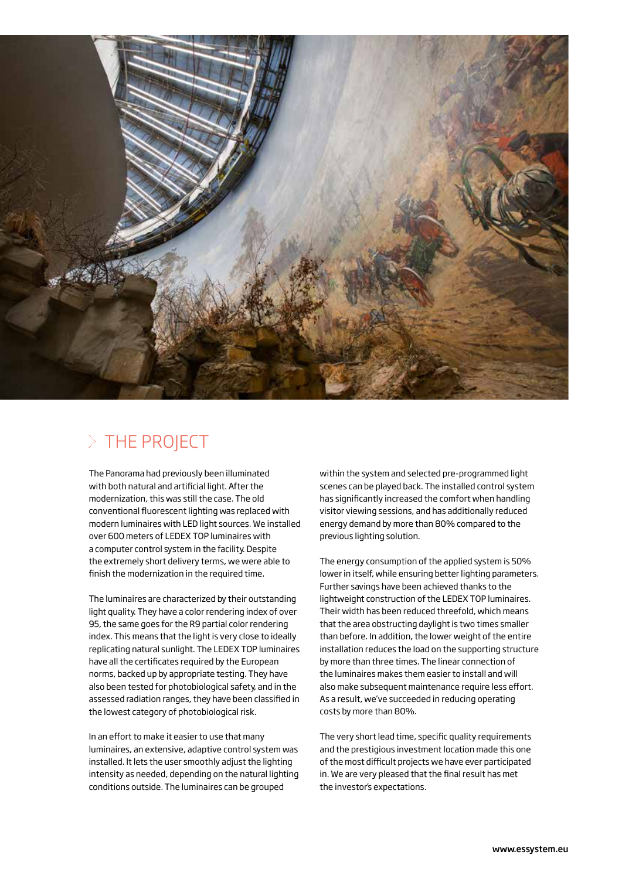

# $>$  THE PROJECT

The Panorama had previously been illuminated with both natural and artificial light. After the modernization, this was still the case. The old conventional fluorescent lighting was replaced with modern luminaires with LED light sources. We installed over 600 meters of LEDEX TOP luminaires with a computer control system in the facility. Despite the extremely short delivery terms, we were able to finish the modernization in the required time.

The luminaires are characterized by their outstanding light quality. They have a color rendering index of over 95, the same goes for the R9 partial color rendering index. This means that the light is very close to ideally replicating natural sunlight. The LEDEX TOP luminaires have all the certificates required by the European norms, backed up by appropriate testing. They have also been tested for photobiological safety, and in the assessed radiation ranges, they have been classified in the lowest category of photobiological risk.

In an effort to make it easier to use that many luminaires, an extensive, adaptive control system was installed. It lets the user smoothly adjust the lighting intensity as needed, depending on the natural lighting conditions outside. The luminaires can be grouped

within the system and selected pre‑programmed light scenes can be played back. The installed control system has significantly increased the comfort when handling visitor viewing sessions, and has additionally reduced energy demand by more than 80% compared to the previous lighting solution.

The energy consumption of the applied system is 50% lower in itself, while ensuring better lighting parameters. Further savings have been achieved thanks to the lightweight construction of the LEDEX TOP luminaires. Their width has been reduced threefold, which means that the area obstructing daylight is two times smaller than before. In addition, the lower weight of the entire installation reduces the load on the supporting structure by more than three times. The linear connection of the luminaires makes them easier to install and will also make subsequent maintenance require less effort. As a result, we've succeeded in reducing operating costs by more than 80%.

The very short lead time, specific quality requirements and the prestigious investment location made this one of the most difficult projects we have ever participated in. We are very pleased that the final result has met the investor's expectations.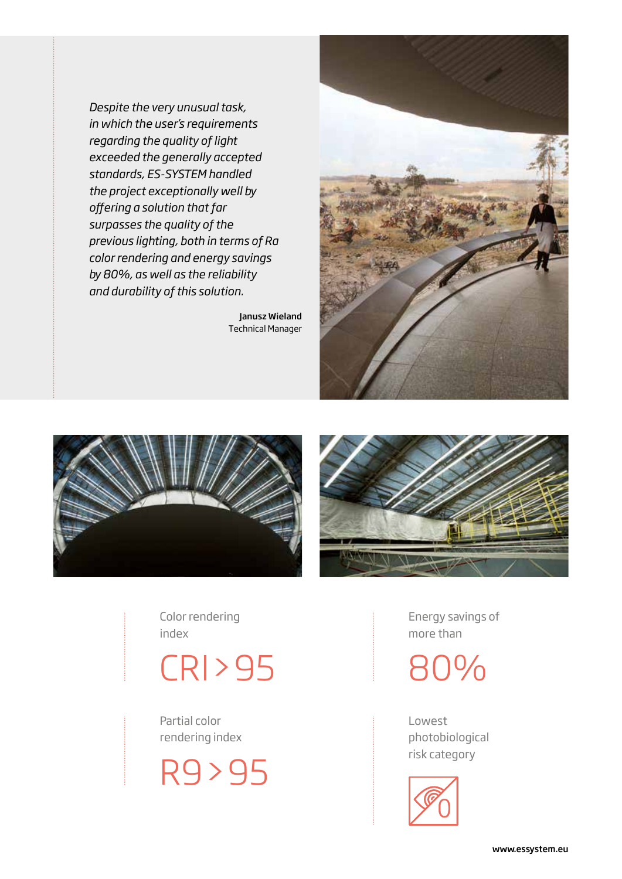*Despite the very unusual task, in which the user's requirements regarding the quality of light exceeded the generally accepted standards, ES-SYSTEM handled the project exceptionally well by offering a solution that far surpasses the quality of the previous lighting, both in terms of Ra color rendering and energy savings by 80%, as well as the reliability and durability of this solution.*

> Janusz Wieland Technical Manager







Color rendering index

CRI>95

Partial color rendering index

R9>95

Energy savings of more than

80%

Lowest photobiological risk category